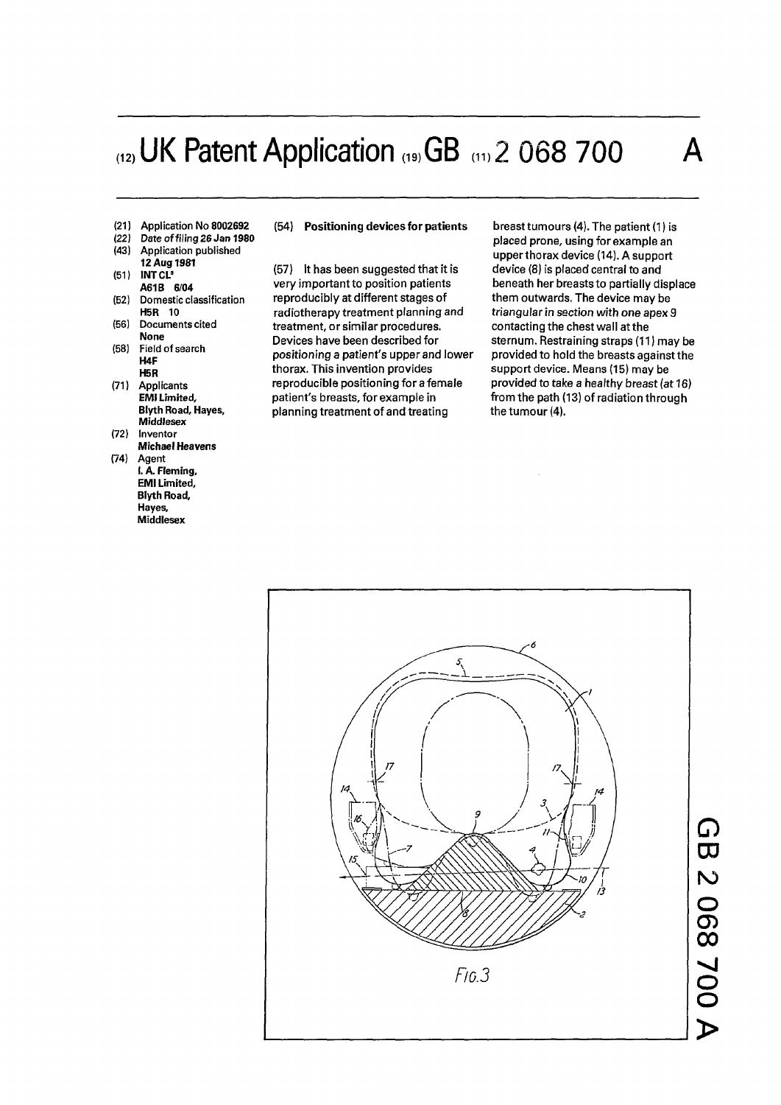# $_{(12)}$ UK Patent Application  $_{(19)}GB$   $_{(11)}$  2 068 700

**(21) Application No 8002692** 

### **(22) Date of filing 26** *Jan* **1980**

- **(43) Application published**
- **12 Aug 1981**
- **(51) INTCL'**
- **A61B 6/04 (52) Domestic classification**
- **H5R 10 (56) Documents cited**
- **None (58) Field of search H4F**
- **H5R (71) Applicants EMI Limited, Blyth Road, Hayes,**
- **Middlesex (72) Inventor**
- **Michael Heavens (74) Agent** 
	- **I. A. Fleming, EMI Limited, Blyth Road, Hayes, Middlesex**

#### (54) Positioning devices for patients

(57) It has been suggested that it is very important to position patients reproducibly at different stages of radiotherapy treatment planning and treatment, or similar procedures. Devices have been described for positioning a patient's upper and lower thorax. This invention provides reproducible positioning for a female patient's breasts, for example in planning treatment of and treating

breast tumours (4). The patient (1) is placed prone, using for example an upperthorax device (14). A support device (8) is placed central to and beneath her breasts to partially displace them outwards. The device may be triangular in section with *one* apex 9 contacting the chest wall at the sternum. Restraining straps (11) may be provided to hold the breasts against the support device. Means (15) may be provided to take a healthy breast (at 16) from the path (13) of radiation through the tumour (4).



## *o*  **CO**  ro o **C D**   $\boldsymbol{\omega}$ **v j**  o  $\breve{\mathbf{o}}$ —<br>र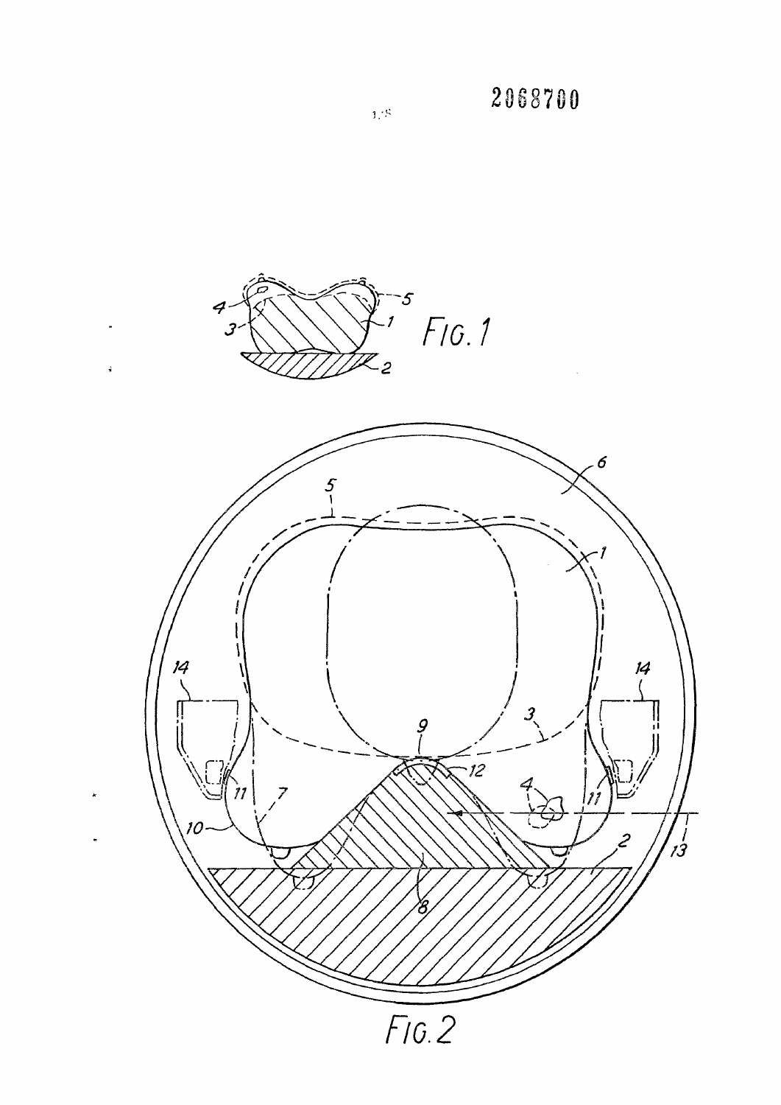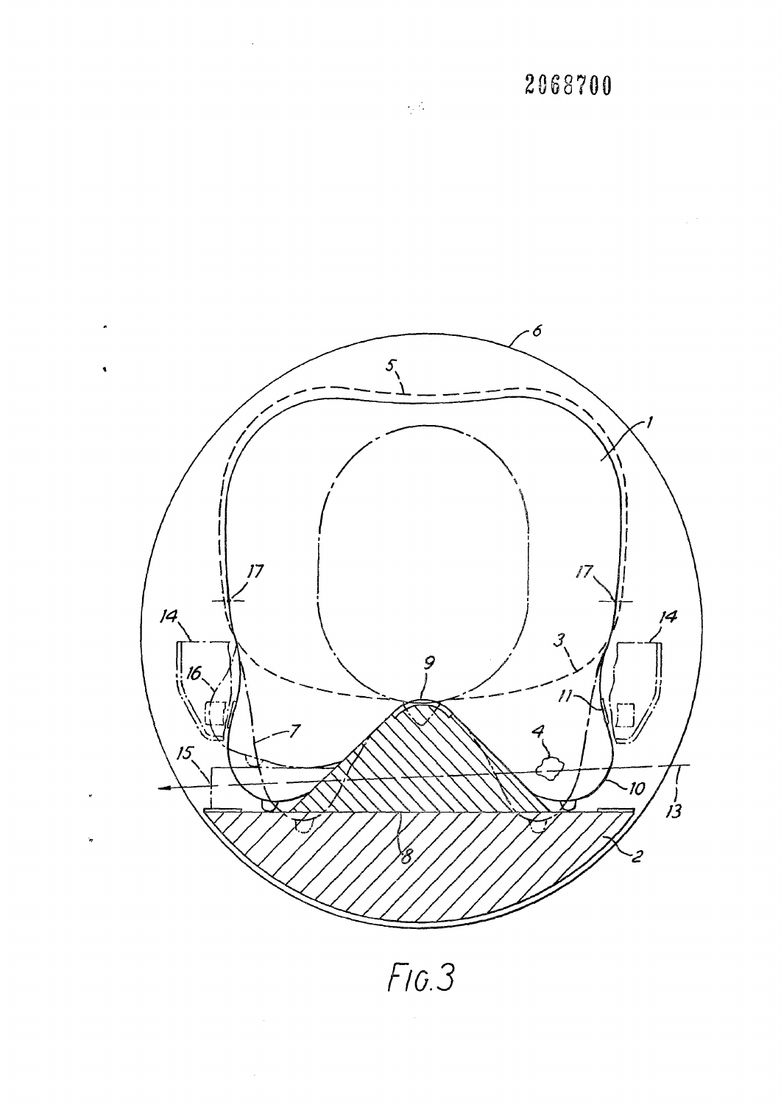

*FLO.3* 

 $\bar{z}$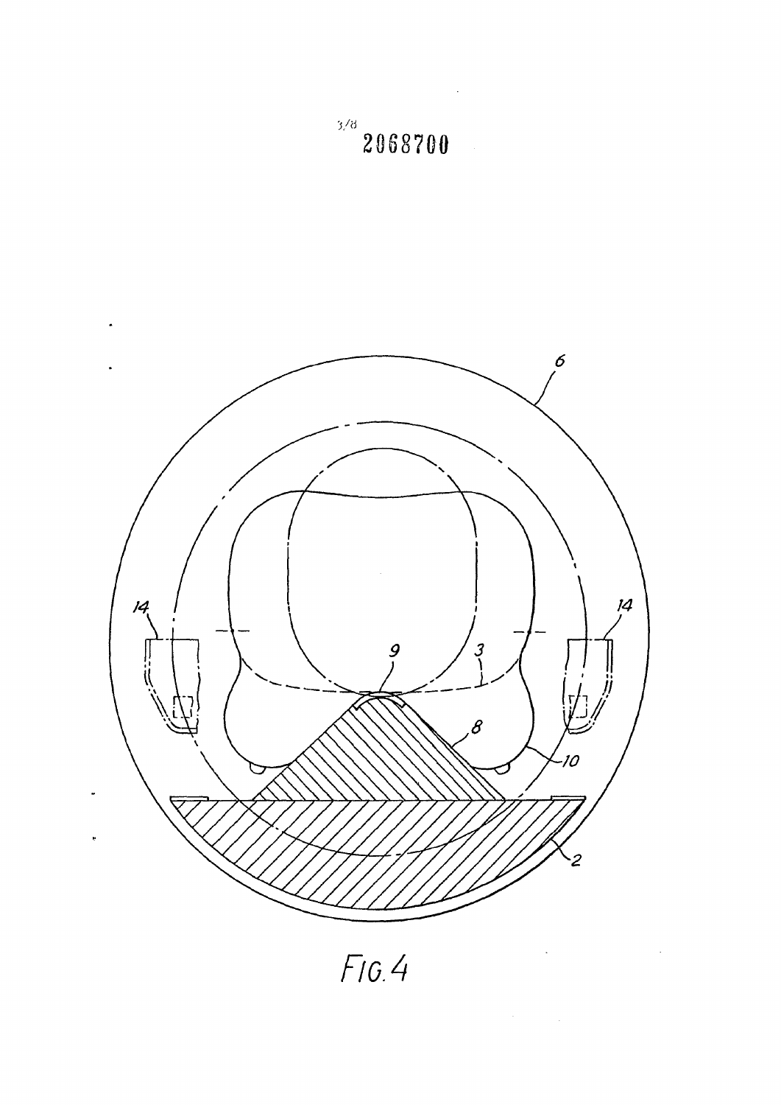

 $F$ IG.4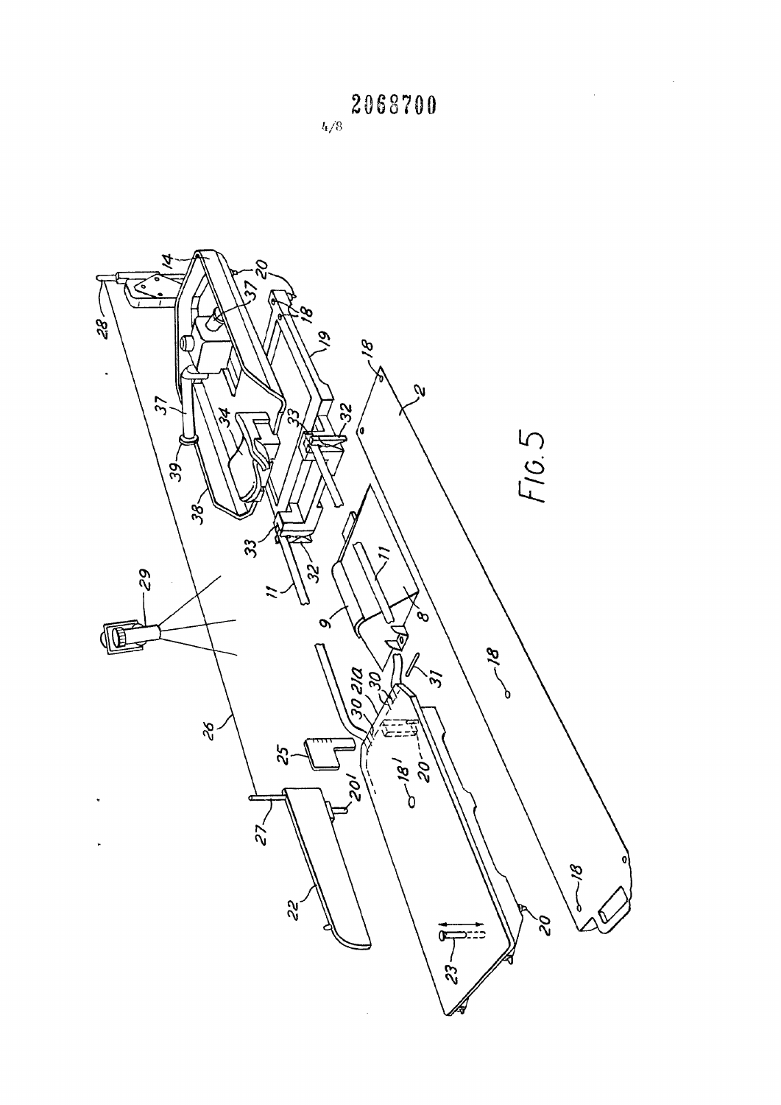Á 82  $\widetilde{\mathcal{E}}$  $\widetilde{\mathscr{C}}$  $-82$ ó  $\mathscr{P}$  $\ddot{\phantom{a}}$  $\dot{\mathcal{U}}$  $57$  $32$ ಜ F10.5 (o  $39 38<$  $33$ 62.  $\tilde{g}$  $\ddot{ }$ .<br>�  $\alpha$ Œ **Bl** DE 05  $\tilde{v}$  $\frac{2}{6}$  $25$ 0-181  $20<sup>2</sup>$ v<br>Oc l,  $\sim$  $\ddot{\phantom{a}}$  $\mathscr{D}'$  $\tilde{\mathcal{S}}$  $\mathcal{S}$  $23 - 81$  $\frac{1}{2}$ 

 $\frac{1}{2}$ 

2068700  $l_{\rm f}/8$ 

 $\label{eq:2.1} \frac{1}{\sqrt{2}}\sum_{i=1}^n\frac{1}{\sqrt{2}}\sum_{i=1}^n\frac{1}{\sqrt{2}}\sum_{i=1}^n\frac{1}{\sqrt{2}}\sum_{i=1}^n\frac{1}{\sqrt{2}}\sum_{i=1}^n\frac{1}{\sqrt{2}}\sum_{i=1}^n\frac{1}{\sqrt{2}}\sum_{i=1}^n\frac{1}{\sqrt{2}}\sum_{i=1}^n\frac{1}{\sqrt{2}}\sum_{i=1}^n\frac{1}{\sqrt{2}}\sum_{i=1}^n\frac{1}{\sqrt{2}}\sum_{i=1}^n\frac$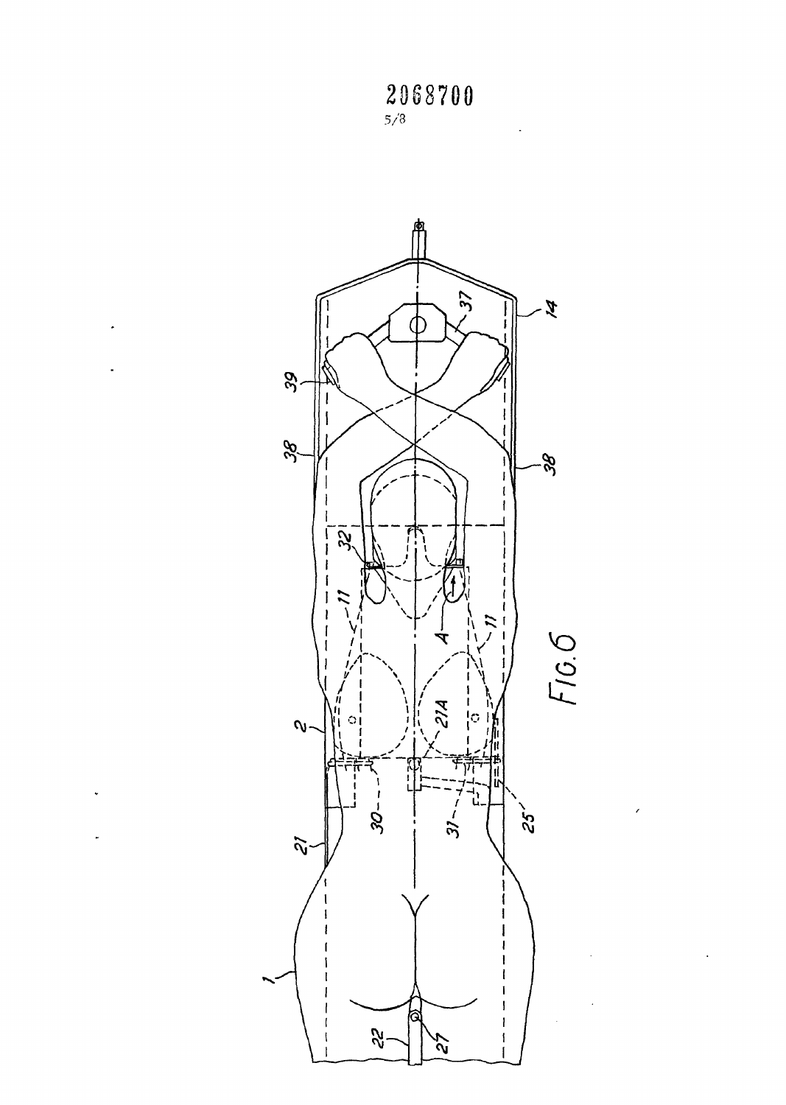**2068700**  5/3

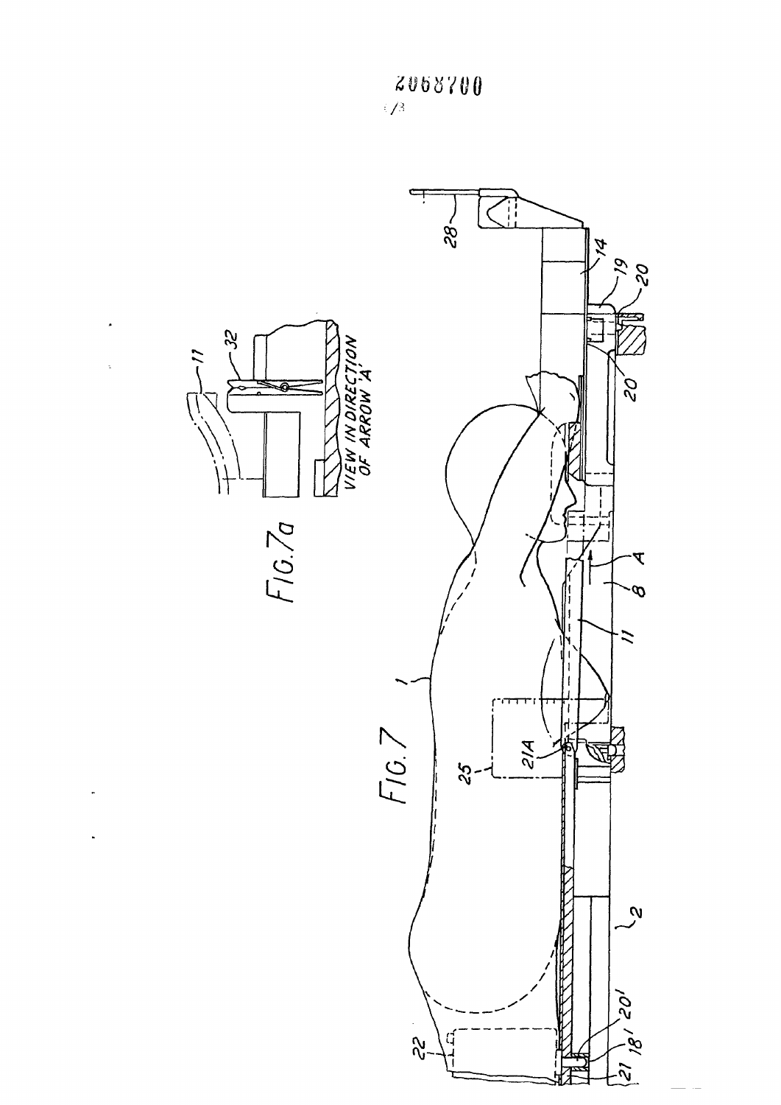

 $\cdot$ 

2068700  $\sqrt{3}$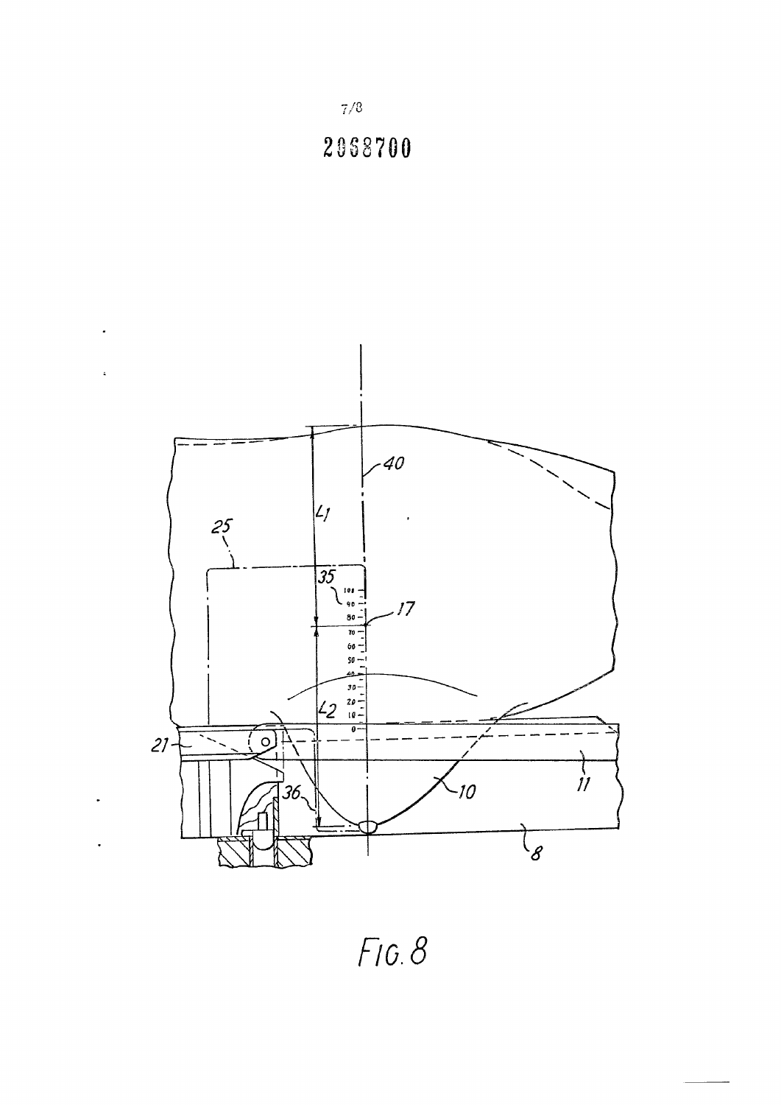

 $7/8$ 

 $\ddot{\phantom{1}}$ 

 $\ddot{\phantom{a}}$ 



 $FIG. 8$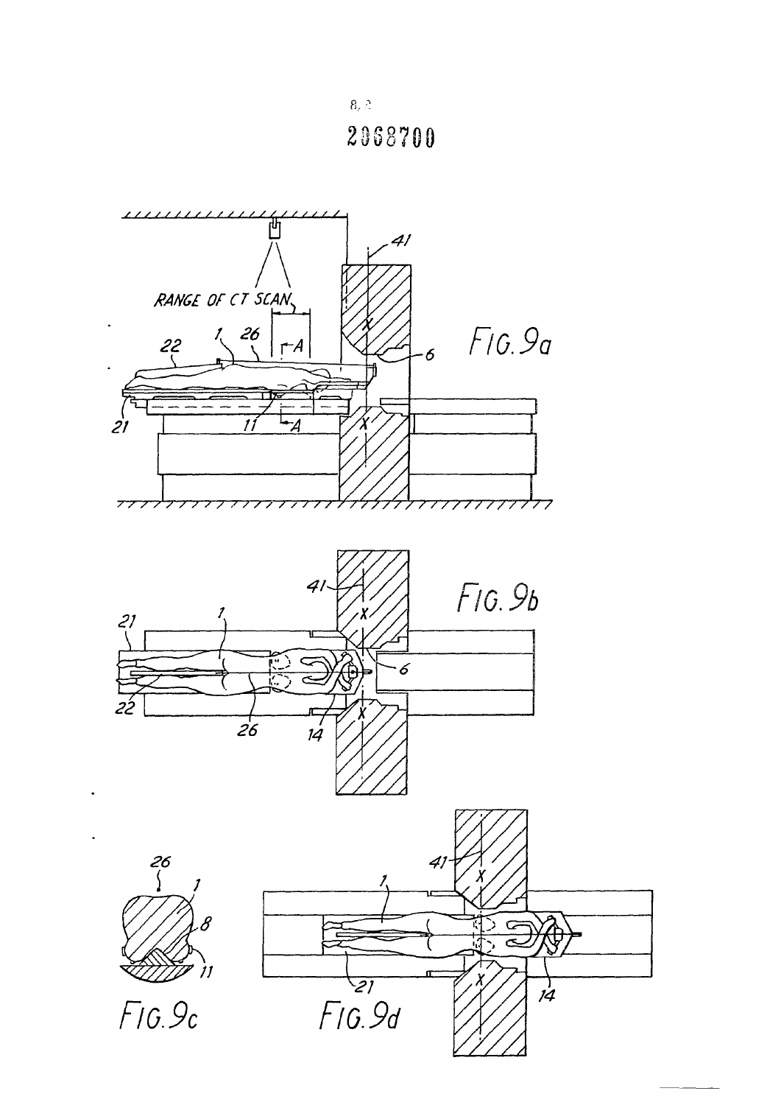$8, \stackrel{\circ}{\scriptstyle\sim}$ 2068700

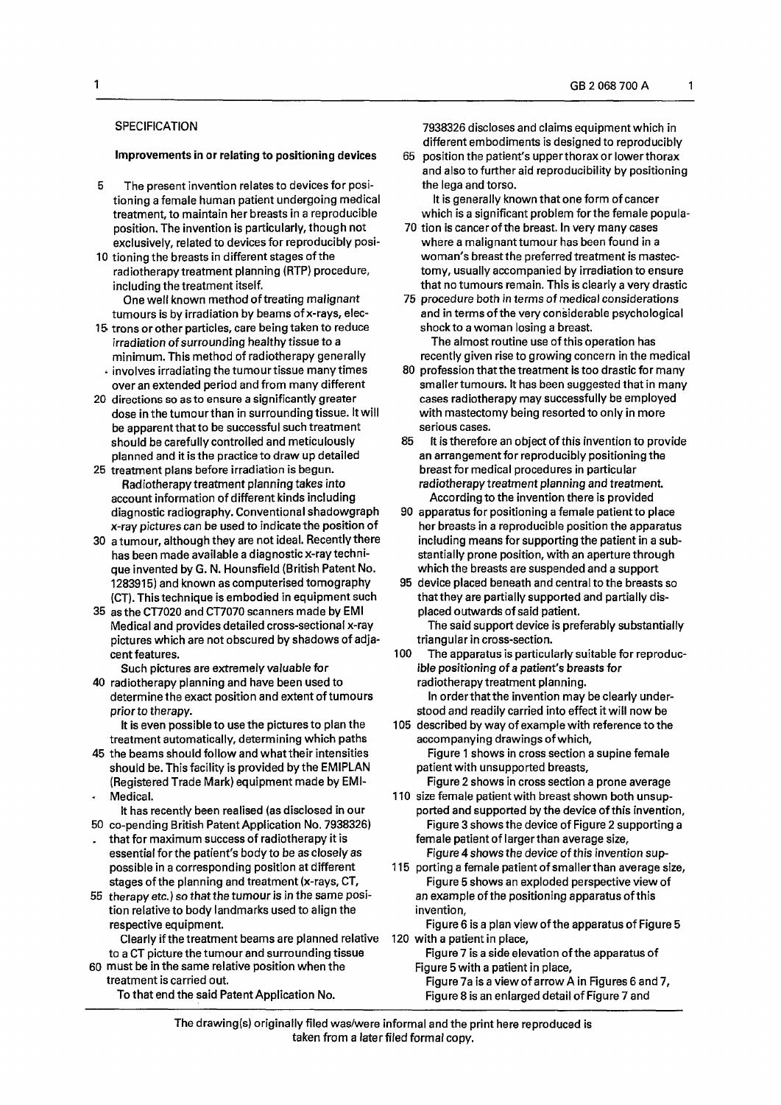1

### **SPECIFICATION**

Improvements in or relating to positioning devices

- 5 The present invention relates to devices for positioning a female human patient undergoing medical treatment, to maintain her breasts in a reproducible position. The invention is particularly, though not exclusively, related to devices for reproducibly posi-
- 10 tioning the breasts in different stages of the radiotherapy treatment planning (RTP) procedure, including the treatment itself. One well known method of treating malignant
- tumours is by irradiation by beams of x-rays, elec-15 trons or other particles, care being taken to reduce irradiation of surrounding healthy tissue to a minimum. This method of radiotherapy generally  $\cdot$  involves irradiating the tumour tissue many times
- over an extended period and from many different
- 20 directions so as to ensure a significantly greater dose in the tumourthan in surrounding tissue. It will be apparent that to be successful such treatment should be carefully controlled and meticulously planned and it is the practice to draw up detailed
- 25 treatment plans before irradiation is begun. Radiotherapy treatment planning takes into account information of different kinds including diagnostic radiography. Conventional shadowgraph x-ray pictures can be used to indicate the position of
- 30 a tumour, although they are not ideal. Recently there has been made available a diagnostic x-ray technique invented by G. N. Hounsfield (British Patent No. 1283915) and known as computerised tomography (CT). This technique is embodied in equipment such
- 35 as the CT7020 and CT7070 scanners made by EMI Medical and provides detailed cross-sectional x-ray pictures which are not obscured by shadows of adjacent features.

Such pictures are extremely valuable for

40 radiotherapy planning and have been used to determine the exact position and extent of tumours prior to therapy.

It is even possible to use the pictures to plan the treatment automatically, determining which paths

- 45 the beams should follow and what their intensities should be. This facility is provided by the EMIPLAN (Registered Trade Mark) equipment made by EMI- Medical.
- It has recently been realised (as disclosed in our 50 co-pending British Patent Application No. 7938326)
- . that for maximum success of radiotherapy it is essential for the patient's body to be as closely as possible in a corresponding position at different stages of the planning and treatment (x-rays, CT,
- 55 therapy etc.) so that the tumour is in the same position relative to body landmarks used to align the respective equipment.
	- Clearly if the treatment beams are planned relative to a CT picture the tumour and surrounding tissue
- 60 must be in the same relative position when the treatment is carried out. To that end the said Patent Application No.

7938326 discloses and claims equipment which in different embodiments is designed to reproducibly

65 position the patient's upperthoraxor lowerthorax and also to further aid reproducibility by positioning the lega and torso.

It is generally known that one form of cancer which is a significant problem forthe female popula-

- 70 tion is cancerof the breast. In very many cases where a malignant tumour has been found in a woman's breast the preferred treatment is mastectomy, usually accompanied by irradiation to ensure that no tumours remain. This is clearly a very drastic
- 75 *procedure* both in terms of medical considerations and in terms of the very considerable psychological shock to a woman losing a breast.

The almost routine use of this operation has recently given rise to growing concern in the medical

- 80 profession that the treatment is too drastic for many smaller tumours. It has been suggested that in many cases radiotherapy may successfully be employed with mastectomy being resorted to only in more serious cases.
- 85 It is therefore an object of this invention to provide an arrangement for reproducibly positioning the breast for medical procedures in particular radiotherapy treatment planning and treatment. According to the invention there is provided
- 90 apparatus for positioning a female patient to place her breasts in a reproducible position the apparatus including means for supporting the patient in a substantially prone position, with an aperture through which the breasts are suspended and a support
- 95 device placed beneath and central to the breasts so that they are partially supported and partially displaced outwards of said patient. The said support device is preferably substantially

triangular in cross-section.

- 100 The apparatus is particularly suitable for reproducible positioning of a patient's breasts for radiotherapy treatment planning. In order that the invention may be clearly understood and readily carried into effect it will now be
- 105 described by way of example with reference to the accompanying drawings of which. Figure 1 shows in cross section a supine female patient with unsupported breasts.

Figure 2 shows in cross section a prone average 110 size female patient with breast shown both unsup-

- ported and supported by the device of this invention. Figure 3 shows the device of Figure 2 supporting a female patient of largerthan average size, Figure 4 shows the device of this invention sup-
- 115 porting a female patient of smaller than average size, Figure 5 shows an exploded perspective view of an example of the positioning apparatus of this invention,
- Figure 6 is a plan view of the apparatus of Figure 5 120 with a patient in place,
	- Figure 7 is a side elevation of the apparatus of Figure 5 with a patient in place,
	- Figure 7a is a view of arrow A in Figures 6 and 7, Figure 8 is an enlarged detail of Figure 7 and

The drawing(s) originally filed was/were informal and the print here reproduced is taken from a later filed formal copy.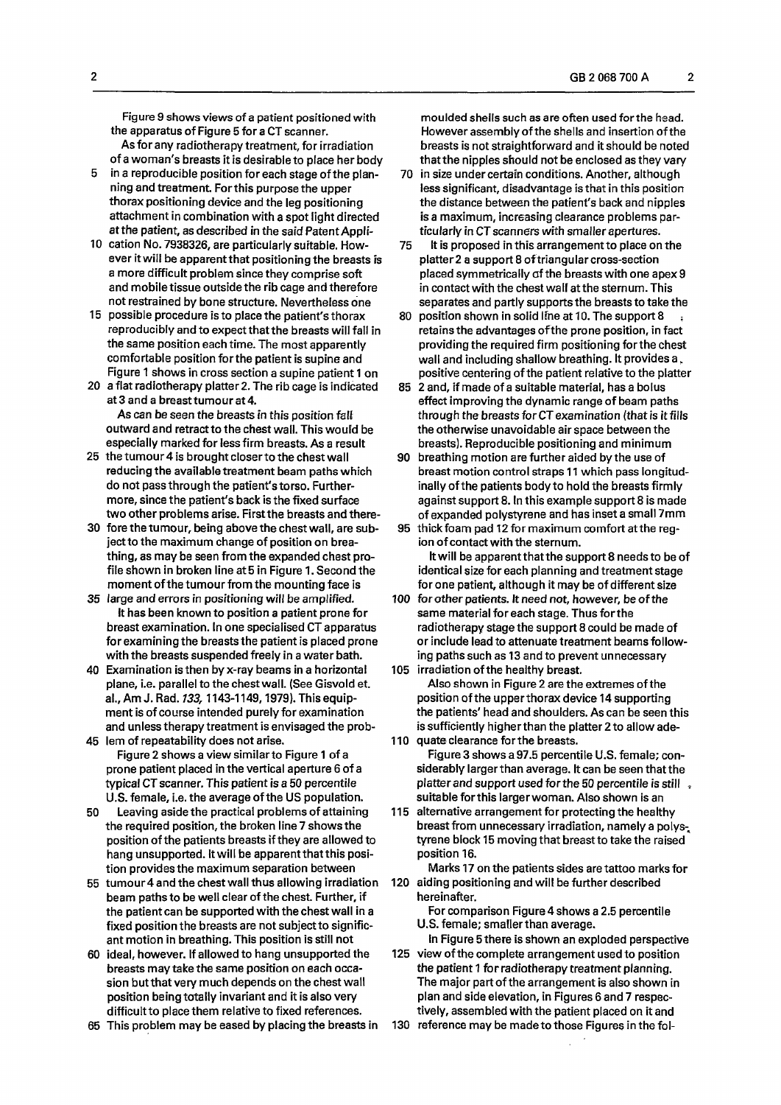Figure 9 shows views of a patient positioned with the apparatus of Figure 5 for a CT scanner. As for any radiotherapy treatment, for irradiation

of a woman's breasts it is desirable to place her body 5 in a reproducible position for each stage of the plan-

- ning and treatment. Forthis purpose the upper thorax positioning device and the leg positioning attachment in combination with a spot light directed at the patient, as described in the said Patent Appli-
- 10 cation No. 7938326, are particularly suitable. However it will be apparent that positioning the breasts is a more difficult problem since they comprise soft and mobile tissue outside the rib cage and therefore not restrained by bone structure. Nevertheless one
- 15 possible procedure is to place the patient's thorax reproducibly and to expect that the breasts will fall in the same position each time. The most apparently comfortable position forthe patient is supine and Figure 1 shows in cross section a supine patient 1 on
- 20 a flat radiotherapy platter 2. The rib cage is indicated at 3 and a breast tumour at 4. As can be seen the breasts in this position faff outward and retract to the chest wall. This would be especially marked for less firm breasts. As a result
- 25 the tumour 4 is brought closer to the chest wall reducing the available treatment beam paths which do not pass through the patient's torso. Furthermore, since the patient's back is the fixed surface two other problems arise. First the breasts and there-
- 30 fore the tumour, being above the chest wall, are subject to the maximum change of position on breathing, as may be seen from the expanded chest profile shown in broken line at 5 in Figure 1. Second the moment of the tumour from the mounting face is
- 35 large and errors in positioning will be amplified. It has been known to position a patient prone for breast examination. In one specialised CT apparatus for examining the breasts the patient is placed prone with the breasts suspended freely in a water bath.
- 40 Examination is then by x-ray beams in a horizontal plane, i.e. parallel to the chest wall. (See Gisvold et. al.. Am J. Rad. *133,*1143-1149,1979). This equipment is of course intended purely for examination and unless therapy treatment is envisaged the prob-45 lem of repeatability does not arise.
- Figure 2 shows a view similar to Figure 1 of a prone patient placed in the vertical aperture 6 of a typical CT scanner. This patient is a 50 percentile U.S. female, i.e. the average of the US population.
- 50 Leaving aside the practical problems of attaining the required position, the broken line 7 shows the position of the patients breasts if they are allowed to hang unsupported. It will be apparent that this position provides the maximum separation between
- 55 tumour 4 and the chest wall thus allowing irradiation beam paths to be well clear of the chest. Further, if the patient can be supported with the chest wall in a fixed position the breasts are not subject to significant motion in breathing. This position is still not
- 60 ideal, however. If allowed to hang unsupported the breasts may take the same position on each occasion but that very much depends on the chest wall position being totally invariant and it is also very difficult to place them relative to fixed references.
- 65 This problem may be eased by placing the breasts in

moulded shells such as are often used forthe head. However assembly of the shells and insertion of the breasts is not straightforward and it should be noted that the nipples should not be enclosed as they vary

- 70 in size under certain conditions. Another, although less significant, disadvantage is that in this position the distance between the patient's back and nipples is a maximum, increasing clearance problems particularly in CT scanners with smaller apertures.
- 75 It is proposed in this arrangement to place on the platter2 a support 8 of triangular cross-section placed symmetrically of the breasts with one apex 9 in contact with the chest waif at the sternum. This separates and partly supports the breasts to take the
- 80 position shown in solid line at 10. The support 8 retains the advantages of the prone position, in fact providing the required firm positioning forthe chest wall and including shallow breathing. It provides  $a_{\star}$ positive centering of the patient relative to the platter
- 85 2 and, if made of a suitable material, has a bolus effect improving the dynamic range of beam paths through the breasts forCT examination (that is it fills the otherwise unavoidable airspace between the breasts). Reproducible positioning and minimum
- 90 breathing motion are further aided by the use of breast motion control straps 11 which pass longitudinally of the patients body to hold the breasts firmly against support 8. In this example support 8 is made ogainat aupport of in this example aupport o is made 95 this formal pada 12 for maximum community at the reg-
- thick foam pad 12 for maximum comfort at the reg-<br>ion of contact with the sternum. It will be apparent that the support 8 needs to be of identical size for each planning and treatment stage for one patient, although it may be of different size
- 100 for other patients. It need not, however, be of the same material for each stage. Thus forthe radiotherapy stage the support 8 could be made of or include lead to attenuate treatment beams following paths such as 13 and to prevent unnecessary 105 irradiation ofthe healthy breast.
- Also shown in Figure 2 are the extremes of the position ofthe upperthorax device 14 supporting the patients' head and shoulders. As can be seen this is sufficiently higher than the platter 2 to allow ade-110 quate clearance forthe breasts.
- Figure 3 shows a 97.5 percentile U.S. female; considerably larger than average. It can be seen that the platter and support used for the 50 percentile is still. suitable forthis largerwoman. Also shown is an
- 115 alternative arrangement for protecting the healthy breast from unnecessary irradiation, namely a polystyrene block 15 moving that breast to take the raised position 16.

Marks 17 on the patients sides are tattoo marks for 120 aiding positioning and will be further described hereinafter.

For comparison Figure 4 shows a 2.5 percentile U.S. female; smaller than average.

- In Figure 5 there is shown an exploded perspective 125 view of the complete arrangement used to position
- the patient 1 for radiotherapy treatment planning. The major part of the arrangement is also shown in plan and side elevation, in Figures 6 and 7 respectively, assembled with the patient placed on it and
- 130 reference may be made to those Figures inthefol-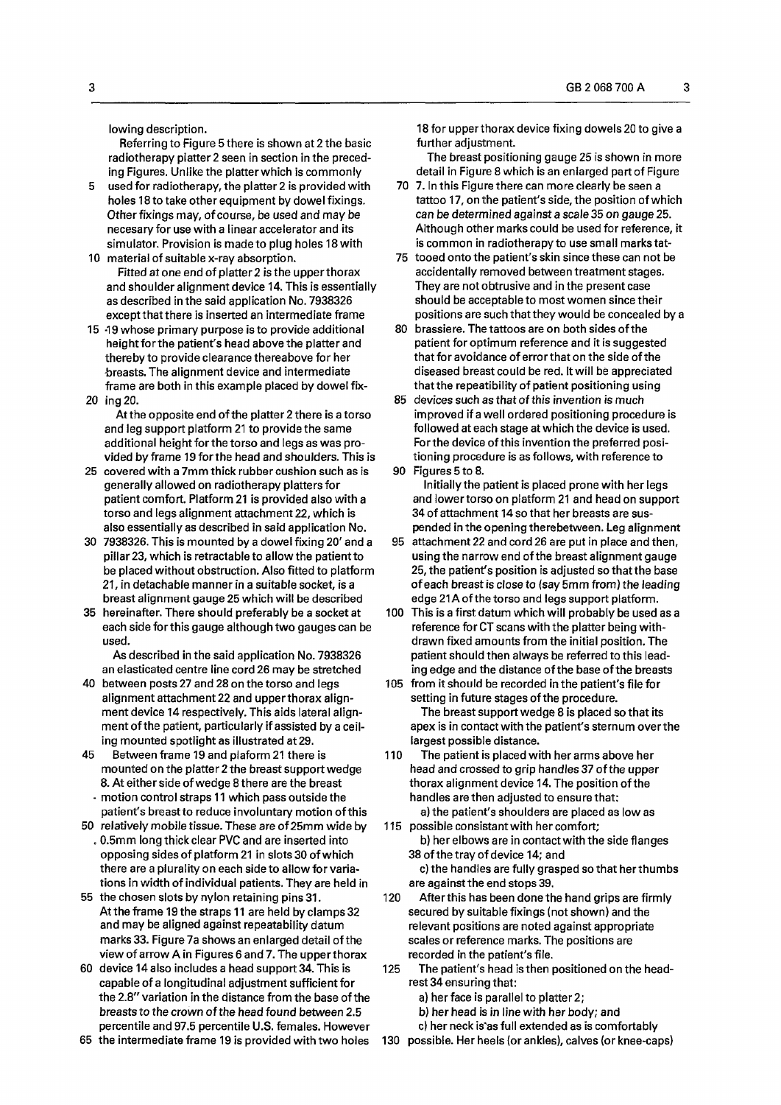lowing description.

Referring to Figure 5 there is shown at 2 the basic radiotherapy platter 2 seen in section in the preceding Figures. Unlike the platter which is commonly

- 5 used for radiotherapy, the platter 2 is provided with holes 18 to take other equipment by dowel fixings. Other fixings may, of course, be used and maybe necesary for use with a linear accelerator and its simulator. Provision is made to plug holes 18 with 10 material of suitable x-ray absorption.
- Fitted at one end of platter 2 is the upper thorax and shoulder alignment device 14. This is essentially as described in the said application No. 7938326 except that there is inserted an intermediate frame
- 15 -19 whose primary purpose is to provide additional height forthe patient's head above the platter and thereby to provide clearance thereabove for her breasts. The alignment device and intermediate frame are both in this example placed by dowel fix-20 ing20.

At the opposite end of the platter 2 there is a torso and leg support platform 21 to provide the same additional height forthe torso and legs as was provided by frame 19 forthe head and shoulders. This is

- 25 covered with a 7mm thick rubber cushion such as is generally allowed on radiotherapy platters for patient comfort. Platform 21 is provided also with a torso and legs alignment attachment 22, which is also essentially as described in said application No.
- 30 7938326. This is mounted by a dowel fixing 20' and a pillar 23, which is retractable to allow the patient to be placed without obstruction. Also fitted to platform 21, in detachable manner in a suitable socket, is a breast alignment gauge 25 which will be described
- 35 hereinafter. There should preferably be a socket at each side forthis gauge although two gauges can be used.

As described in the said application No. 7938326 an elasticated centre line cord 26 may be stretched

- 40 between posts 27 and 28 on the torso and legs alignment attachment 22 and upperthorax alignment device 14 respectively. This aids lateral alignment of the patient, particularly if assisted by a ceiling mounted spotlight as illustrated at 29.
- 45 Between frame 19 and plaform 21 there is mounted on the platter 2 the breast support wedge 8. At either side of wedge 8 there are the breast - motion control straps 11 which pass outside the
- patient's breast to reduce involuntary motion of this 50 relatively mobile tissue. These are of 25mm wide by
- . 0.5mm long thick clear PVC and are inserted into opposing sides of platform 21 in slots 30 of which there are a plurality on each side to allow for variations in width of individual patients. They are held in
- 55 the chosen slots by nylon retaining pins 31. At the frame 19 the straps 11 are held by clamps 32 and may be aligned against repeatability datum marks 33. Figure 7a shows an enlarged detail of the view of arrow A in Figures 6 and 7. The upper thorax
- 60 device 14 also includes a head support 34. This is capable of a longitudinal adjustment sufficient for the 2.8" variation in the distance from the base of the breasts to the crown of the head found between 2.5 percentile and 97.5 percentile U.S. females. However

18 for upperthorax device fixing dowels 20 to give a further adjustment.

The breast positioning gauge 25 is shown in more detail in Figure 8 which is an enlarged part of Figure

- 70 7. In this Figure there can more clearly be seen a tattoo 17, on the patient's side, the position of which *can be determined* against a scale 35 on gauge 25. Although other marks could be used for reference, it is common in radiotherapy to use small marks tat-
- 75 tooed onto the patient's skin since these can not be accidentally removed between treatment stages. They are not obtrusive and in the present case should be acceptable to most women since their positions are such that they would be concealed by a
- 80 brassiere. The tattoos are on both sides of the patient for optimum reference and it is suggested that for avoidance of error that on the side of the diseased breast could be red. It will be appreciated that the repeatibility of patient positioning using
- 85 devices such as that of this invention is much improved if a well ordered positioning procedure is followed at each stage at which the device is used. Forthe device of this invention the preferred positioning procedure is as follows, with reference to
- 90 Figures 5 to 8.

Initially the patient is placed prone with her legs and lower torso on platform 21 and head on support 34 of attachment 14 so that her breasts are suspended in the opening therebetween. Leg alignment

- 95 attachment 22 and cord 26 are put in place and then, using the narrow end of the breast alignment gauge 25, the patient's position is adjusted so that the base of each breast is close to (say 5mm from) the leading edge 21A of the torso and legs support platform.
- 100 This is a first datum which will probably be used as a reference for CT scans with the platter being withdrawn fixed amounts from the initial position. The patient should then always be referred to this leading edge and the distance of the base of the breasts
- 105 from it should be recorded in the patient's file for setting in future stages of the procedure. The breast support wedge 8 is placed so that its apex is in contact with the patient's sternum overthe largest possible distance.
- 110 The patient is placed with her arms above her head and crossed to grip handles 37 of the upper thorax alignment device 14. The position of the handles are then adjusted to ensure that:
- a) the patient's shoulders are placed as low as 115 possible consistant with her comfort;

b) herelbows are in contact with the side flanges 38 of the tray of device 14; and

c) the handles are fully grasped so that her thumbs are against the end stops 39.

120 After this has been done the hand grips are firmly secured by suitable fixings (not shown) and the relevant positions are noted against appropriate scales or reference marks. The positions are recorded in the patient's file.

- 125 The patient's head is then positioned on the headrest 34 ensuring that:
	- a) her face is parallel to platter 2;
	- b) her head is in line with her body; and
	- c) her neck is'as full extended as is comfortably
- 65 the intermediate frame 19 is provided with two holes

130 possible. Her heels (or ankles), calves (or knee-caps)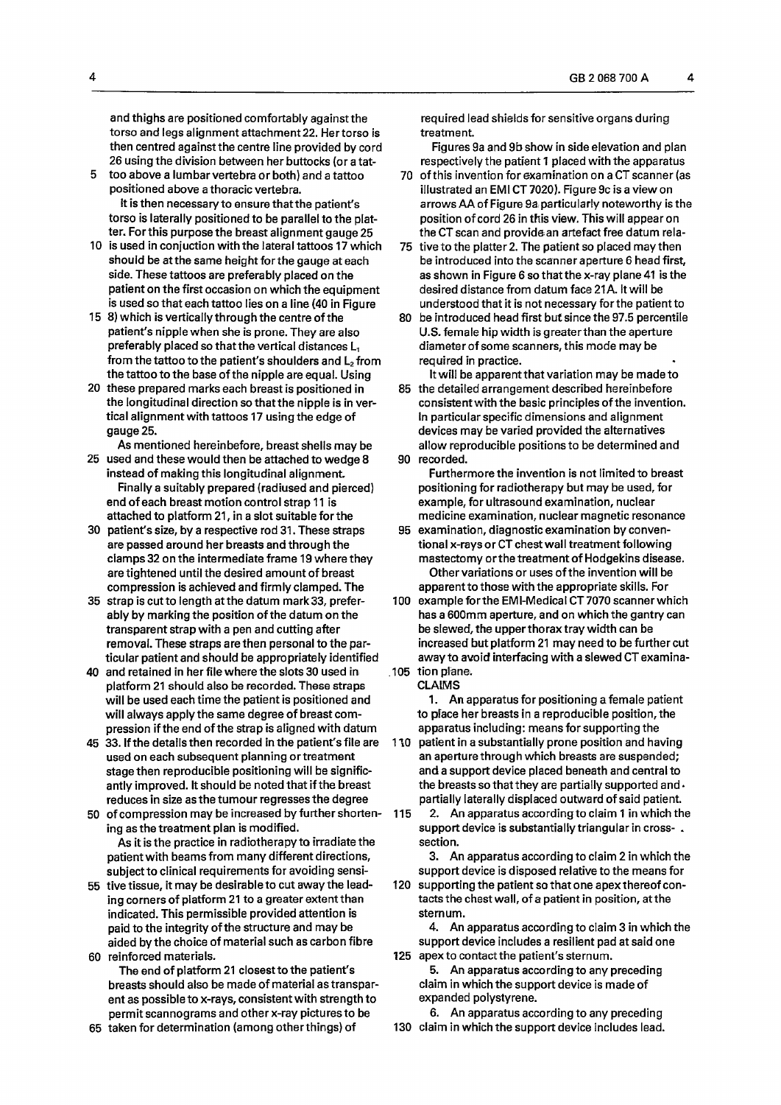and thighs are positioned comfortably against the torso and legs alignment attachment 22. Her torso is then centred against the centre line provided by cord 26 using the division between her buttocks (or a tat-

- 5 too above a lumbar vertebra or both) and a tattoo positioned above a thoracic vertebra. It is then necessary to ensure thatthe patient's torso is laterally positioned to be parallel to the platter. For this purpose the breast alignment gauge 25
- 10 is used in conjuction with the lateral tattoos 17 which should be at the same height forthe gauge at each side. These tattoos are preferably placed on the patient on the first occasion on which the equipment is used so that each tattoo lies on a line (40 in Figure
- 15 8) which is vertically through the centre of the patient's nipple when she is prone. They are also preferably placed so that the vertical distances  $L_1$ from the tattoo to the patient's shoulders and  $L<sub>2</sub>$  from the tattoo to the base of the nipple are equal. Using
- 20 these prepared marks each breast is positioned in the longitudinal direction so that the nipple is in vertical alignment with tattoos 17 using the edge of gauge 25.
- As mentioned hereinbefore, breast shells may be
- 25 used and these would then be attached to wedge 8 instead of making this longitudinal alignment. Finally a suitably prepared (radiused and pierced) end of each breast motion control strap 11 is attached to platform 21, in a slot suitable for the
- 30 patient's size, by a respective rod 31. These straps are passed around her breasts and through the clamps 32 on the intermediate frame 19 where they are tightened until the desired amount of breast compression is achieved and firmly clamped. The
- 35 strap is cut to length at the datum mark 33, preferably by marking the position of the datum on the transparent strap with a pen and cutting after removal. These straps are then personal to the particular patient and should be appropriately identified
- 40 and retained in her file where the slots 30 used in platform 21 should also be recorded. These straps will be used each time the patient is positioned and will always apply the same degree of breast compression if the end of the strap is aligned with datum
- 45 33. If the details then recorded in the patient's file are used on each subsequent planning or treatment stage then reproducible positioning will be significantly improved. It should be noted that if the breast reduces in size as the tumour regresses the degree
- 50 of compression may be increased by further shortening as the treatment plan is modified. As it is the practice in radiotherapy to irradiate the patient with beams from many different directions, subject to clinical requirements for avoiding sensi-
- 55 tive tissue, it may be desirable to cut away the leading corners of platform 21 to a greater extent than indicated. This permissible provided attention is paid to the integrity of the structure and may be aided by the choice of material such as carbon fibre 60 reinforced materials.
	- The end of platform 21 closest to the patient's breasts should also be made of material as transparent as possible to x-rays, consistent with strength to permit scannograms and other x-ray pictures to be
- 65 taken for determination (among otherthings) of

required lead shields for sensitive organs during treatment.

Figures 9a and 9b show in side elevation and plan respectively the patient 1 placed with the apparatus

- 70 of this invention for examination on a CT scanner (as illustrated an EMI CT 7020). Figure 9c is a view on arrows AA of Figure 9a particularly noteworthy is the position of cord 26 in this view. This will appear on the CT scan and provide an artefact free datum rela-
- 75 tive to the platter 2. The patient so placed may then be introduced into the scanner aperture 6 head first, as shown in Figure 6 so that the x-ray plane 41 is the desired distance from datum face 21A. It will be understood that it is not necessary forthe patient to
- 80 be introduced head first but since the 97.5 percentile U.S. female hip width is greater than the aperture diameter of some scanners, this mode may be required in practice.

It will be apparent that variation may be made to

85 the detailed arrangement described hereinbefore consistent with the basic principles of the invention. In particular specific dimensions and alignment devices may be varied provided the alternatives allow reproducible positions to be determined and 90 recorded.

Furthermore the invention is not limited to breast positioning for radiotherapy but may be used, for example, for ultrasound examination, nuclear medicine examination, nuclear magnetic resonance

- 95 examination, diagnostic examination by conventional x-rays or CT chest wall treatment following mastectomy or the treatment of Hodgekins disease. Other variations or uses ofthe invention will be apparent to those with the appropriate skills. For
- 100 example for the EMI-Medical CT 7070 scanner which has a 600mm aperture, and on which the gantry can be slewed, the upperthorax tray width can be increased but platform 21 may need to be further cut away to avoid interfacing with a slewed CT examina-105 tion plane.
	- CLAIMS

1. An apparatus for positioning a female patient to place her breasts in a reproducible position, the apparatus including: means for supporting the

110 patient in a substantially prone position and having an aperture through which breasts are suspended; and a support device placed beneath and central to the breasts so that they are partially supported and  $\cdot$ partially laterally displaced outward of said patient.

115 2. An apparatus accordingto claim 1 in which the support device is substantially triangular in cross- . section.

3. An apparatus according to claim 2 in which the support device is disposed relative to the means for

120 supporting the patient so that one apex thereof contacts the chest wall, of a patient in position, at the sternum.

4. An apparatus according to claim 3 in which the support device includes a resilient pad at said one 125 apex to contact the patient's sternum.

5. An apparatus according to any preceding claim in which the support device is made of expanded polystyrene.

6. An apparatus according to any preceding 130 claim in which the support device includes lead.